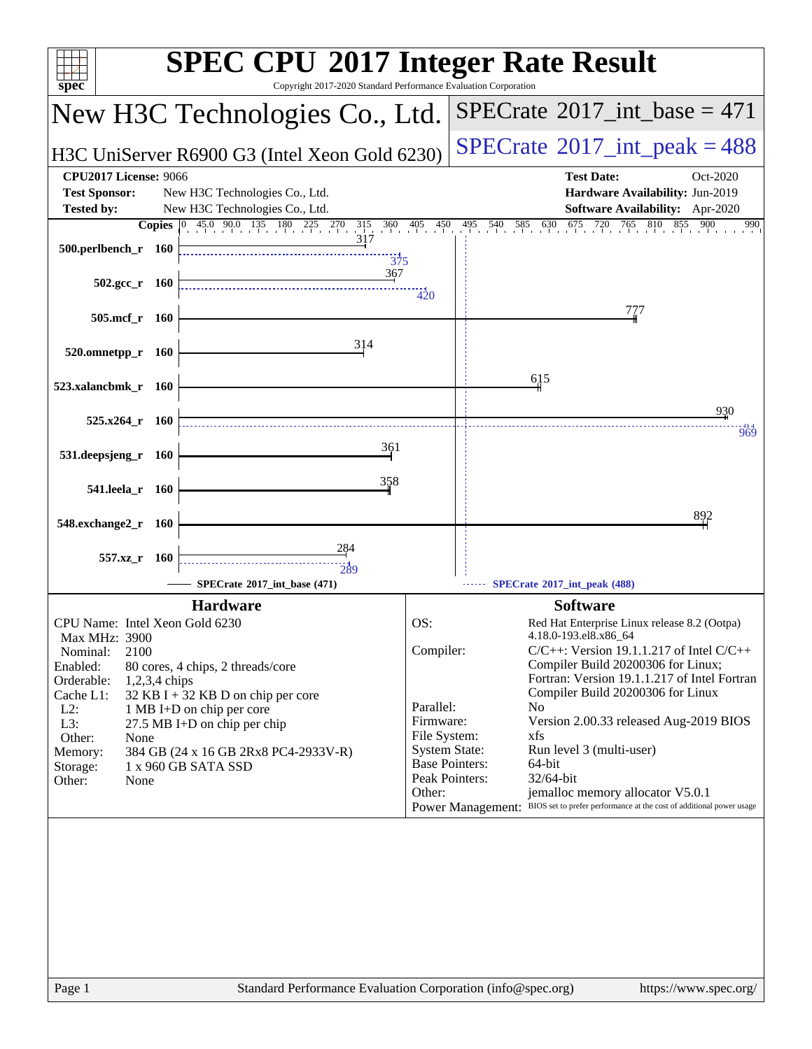| $spec^*$                                                                  | <b>SPEC CPU®2017 Integer Rate Result</b><br>Copyright 2017-2020 Standard Performance Evaluation Corporation |                           |                                                                                                                                      |
|---------------------------------------------------------------------------|-------------------------------------------------------------------------------------------------------------|---------------------------|--------------------------------------------------------------------------------------------------------------------------------------|
|                                                                           | New H3C Technologies Co., Ltd.                                                                              |                           | $SPECrate^{\circledast}2017\_int\_base = 471$                                                                                        |
|                                                                           | H3C UniServer R6900 G3 (Intel Xeon Gold 6230)                                                               |                           | $SPECrate^{\circ}2017\_int\_peak = 488$                                                                                              |
| <b>CPU2017 License: 9066</b><br><b>Test Sponsor:</b><br><b>Tested by:</b> | New H3C Technologies Co., Ltd.<br>New H3C Technologies Co., Ltd.                                            |                           | <b>Test Date:</b><br>Oct-2020<br>Hardware Availability: Jun-2019<br><b>Software Availability:</b> Apr-2020                           |
| <b>Copies</b><br>500.perlbench_r 160                                      | 45.0 90.0 135 180 225 270 315 360 405 450<br>$ 0\rangle$<br>$\frac{1}{375}$                                 |                           | 495 540 585 630 675 720 765 810 855 900<br>990                                                                                       |
| $502.\text{gcc r}$ 160                                                    | 367                                                                                                         | 420                       |                                                                                                                                      |
| 505.mcf_r 160                                                             |                                                                                                             |                           | 777                                                                                                                                  |
| 520.omnetpp_r 160<br>523.xalancbmk_r 160                                  | 314                                                                                                         |                           | 615                                                                                                                                  |
| $525.x264$ r 160                                                          |                                                                                                             |                           | 930<br>969                                                                                                                           |
| 531.deepsjeng_r 160                                                       | 361                                                                                                         |                           |                                                                                                                                      |
| 541.leela_r 160                                                           | 358                                                                                                         |                           |                                                                                                                                      |
| 548.exchange2_r 160                                                       | 284                                                                                                         |                           | 892                                                                                                                                  |
| 557.xz_r 160                                                              | $\frac{1}{289}$<br>SPECrate®2017 int base (471)                                                             |                           | SPECrate*2017_int_peak (488)                                                                                                         |
|                                                                           | <b>Hardware</b>                                                                                             |                           | <b>Software</b>                                                                                                                      |
| CPU Name: Intel Xeon Gold 6230<br>Max MHz: 3900                           |                                                                                                             | OS:                       | Red Hat Enterprise Linux release 8.2 (Ootpa)<br>4.18.0-193.el8.x86 64                                                                |
| 2100<br>Nominal:<br>Enabled:                                              | 80 cores, 4 chips, 2 threads/core                                                                           | Compiler:                 | $C/C++$ : Version 19.1.1.217 of Intel $C/C++$<br>Compiler Build 20200306 for Linux;                                                  |
| Orderable:<br>$1,2,3,4$ chips<br>Cache L1:<br>$L2$ :                      | 32 KB I + 32 KB D on chip per core<br>1 MB I+D on chip per core                                             | Parallel:                 | Fortran: Version 19.1.1.217 of Intel Fortran<br>Compiler Build 20200306 for Linux<br>N <sub>0</sub>                                  |
| L3:<br>Other:<br>None                                                     | 27.5 MB I+D on chip per chip                                                                                | Firmware:<br>File System: | Version 2.00.33 released Aug-2019 BIOS<br>xfs                                                                                        |
| Memory:<br>Storage:<br>Other:<br>None                                     | 384 GB (24 x 16 GB 2Rx8 PC4-2933V-R)<br>1 x 960 GB SATA SSD                                                 |                           | <b>System State:</b><br>Run level 3 (multi-user)<br><b>Base Pointers:</b><br>64-bit<br>Peak Pointers:<br>32/64-bit                   |
|                                                                           |                                                                                                             | Other:                    | jemalloc memory allocator V5.0.1<br>BIOS set to prefer performance at the cost of additional power usage<br><b>Power Management:</b> |
|                                                                           |                                                                                                             |                           |                                                                                                                                      |
| Page 1                                                                    | Standard Performance Evaluation Corporation (info@spec.org)                                                 |                           | https://www.spec.org/                                                                                                                |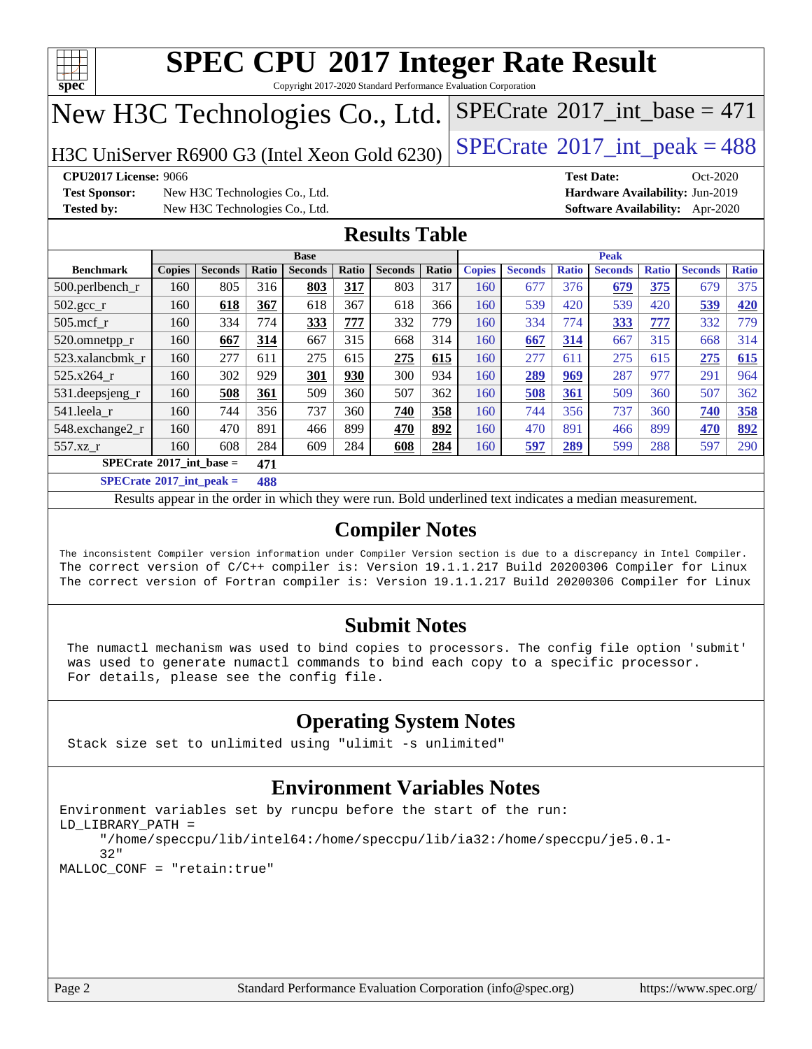

Copyright 2017-2020 Standard Performance Evaluation Corporation

## New H3C Technologies Co., Ltd.

H3C UniServer R6900 G3 (Intel Xeon Gold 6230)  $\left|$  [SPECrate](http://www.spec.org/auto/cpu2017/Docs/result-fields.html#SPECrate2017intpeak)<sup>®</sup>[2017\\_int\\_peak = 4](http://www.spec.org/auto/cpu2017/Docs/result-fields.html#SPECrate2017intpeak)88

**[Test Sponsor:](http://www.spec.org/auto/cpu2017/Docs/result-fields.html#TestSponsor)** New H3C Technologies Co., Ltd. **[Hardware Availability:](http://www.spec.org/auto/cpu2017/Docs/result-fields.html#HardwareAvailability)** Jun-2019 **[Tested by:](http://www.spec.org/auto/cpu2017/Docs/result-fields.html#Testedby)** New H3C Technologies Co., Ltd. **[Software Availability:](http://www.spec.org/auto/cpu2017/Docs/result-fields.html#SoftwareAvailability)** Apr-2020

**[CPU2017 License:](http://www.spec.org/auto/cpu2017/Docs/result-fields.html#CPU2017License)** 9066 **[Test Date:](http://www.spec.org/auto/cpu2017/Docs/result-fields.html#TestDate)** Oct-2020

 $SPECTate$ <sup>®</sup>[2017\\_int\\_base =](http://www.spec.org/auto/cpu2017/Docs/result-fields.html#SPECrate2017intbase) 471

### **[Results Table](http://www.spec.org/auto/cpu2017/Docs/result-fields.html#ResultsTable)**

|                                   |               |                |              | <b>Base</b>    |       |                | <b>Peak</b> |               |                |              |                |              |                |              |  |
|-----------------------------------|---------------|----------------|--------------|----------------|-------|----------------|-------------|---------------|----------------|--------------|----------------|--------------|----------------|--------------|--|
| <b>Benchmark</b>                  | <b>Copies</b> | <b>Seconds</b> | <b>Ratio</b> | <b>Seconds</b> | Ratio | <b>Seconds</b> | Ratio       | <b>Copies</b> | <b>Seconds</b> | <b>Ratio</b> | <b>Seconds</b> | <b>Ratio</b> | <b>Seconds</b> | <b>Ratio</b> |  |
| $500.$ perlbench_r                | 160           | 805            | 316          | 803            | 317   | 803            | 317         | 160           | 677            | 376          | 679            | 375          | 679            | 375          |  |
| $502.\text{gcc}$ _r               | 160           | 618            | 367          | 618            | 367   | 618            | 366         | 160           | 539            | 420          | 539            | 420          | 539            | 420          |  |
| $505$ .mcf r                      | 160           | 334            | 774          | 333            | 777   | 332            | 779         | 160           | 334            | 774          | 333            | 777          | 332            | 779          |  |
| 520.omnetpp_r                     | 160           | 667            | 314          | 667            | 315   | 668            | 314         | 160           | 667            | 314          | 667            | 315          | 668            | 314          |  |
| 523.xalancbmk r                   | 160           | 277            | 611          | 275            | 615   | 275            | 615         | 160           | 277            | 611          | 275            | 615          | 275            | 615          |  |
| 525.x264 r                        | 160           | 302            | 929          | 301            | 930   | 300            | 934         | 160           | 289            | 969          | 287            | 977          | 291            | 964          |  |
| 531.deepsjeng_r                   | 160           | 508            | 361          | 509            | 360   | 507            | 362         | 160           | 508            | 361          | 509            | 360          | 507            | 362          |  |
| 541.leela r                       | 160           | 744            | 356          | 737            | 360   | 740            | 358         | 160           | 744            | 356          | 737            | 360          | 740            | 358          |  |
| 548.exchange2_r                   | 160           | 470            | 891          | 466            | 899   | 470            | 892         | 160           | 470            | 891          | 466            | 899          | 470            | 892          |  |
| 557.xz r                          | 160           | 608            | 284          | 609            | 284   | 608            | 284         | 160           | 597            | <u>289</u>   | 599            | 288          | 597            | 290          |  |
| $SPECrate^{\circ}2017$ int base = |               |                | 471          |                |       |                |             |               |                |              |                |              |                |              |  |
| $C = 1$                           |               |                | $\sim$       |                |       |                |             |               |                |              |                |              |                |              |  |

**[SPECrate](http://www.spec.org/auto/cpu2017/Docs/result-fields.html#SPECrate2017intpeak)[2017\\_int\\_peak =](http://www.spec.org/auto/cpu2017/Docs/result-fields.html#SPECrate2017intpeak) 488**

Results appear in the [order in which they were run](http://www.spec.org/auto/cpu2017/Docs/result-fields.html#RunOrder). Bold underlined text [indicates a median measurement](http://www.spec.org/auto/cpu2017/Docs/result-fields.html#Median).

### **[Compiler Notes](http://www.spec.org/auto/cpu2017/Docs/result-fields.html#CompilerNotes)**

The inconsistent Compiler version information under Compiler Version section is due to a discrepancy in Intel Compiler. The correct version of C/C++ compiler is: Version 19.1.1.217 Build 20200306 Compiler for Linux The correct version of Fortran compiler is: Version 19.1.1.217 Build 20200306 Compiler for Linux

### **[Submit Notes](http://www.spec.org/auto/cpu2017/Docs/result-fields.html#SubmitNotes)**

 The numactl mechanism was used to bind copies to processors. The config file option 'submit' was used to generate numactl commands to bind each copy to a specific processor. For details, please see the config file.

### **[Operating System Notes](http://www.spec.org/auto/cpu2017/Docs/result-fields.html#OperatingSystemNotes)**

Stack size set to unlimited using "ulimit -s unlimited"

### **[Environment Variables Notes](http://www.spec.org/auto/cpu2017/Docs/result-fields.html#EnvironmentVariablesNotes)**

```
Environment variables set by runcpu before the start of the run:
LD_LIBRARY_PATH =
      "/home/speccpu/lib/intel64:/home/speccpu/lib/ia32:/home/speccpu/je5.0.1-
      32"
MALLOC_CONF = "retain:true"
```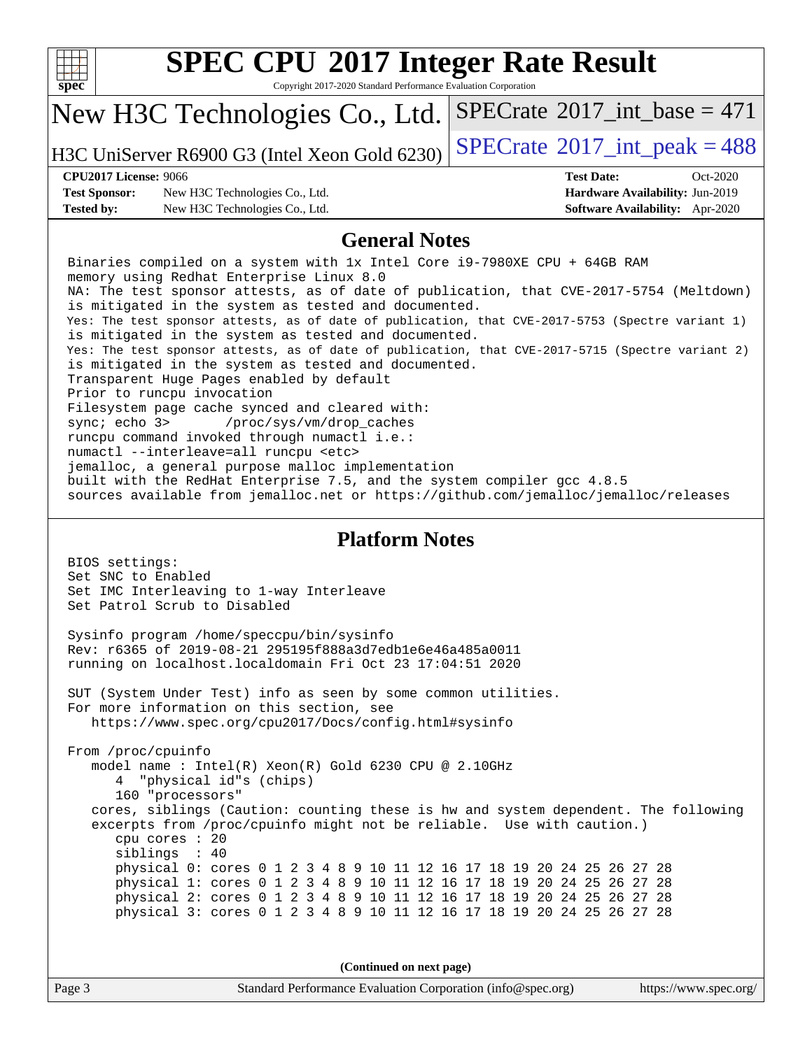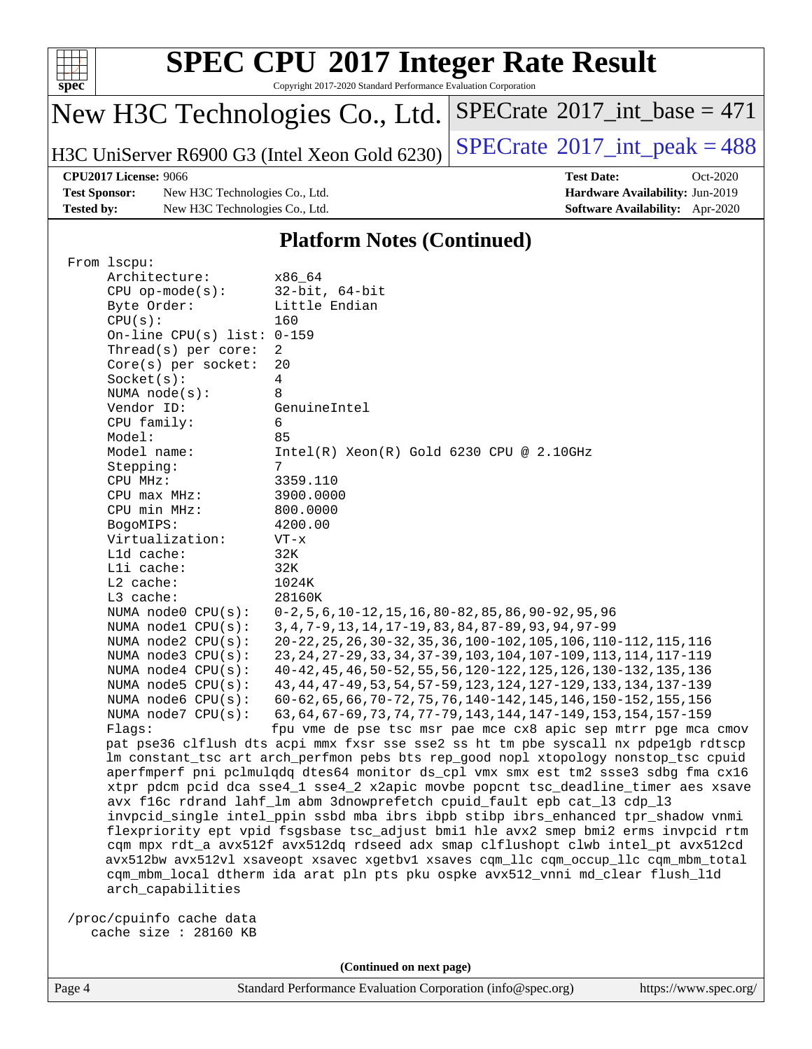

Copyright 2017-2020 Standard Performance Evaluation Corporation

## New H3C Technologies Co., Ltd.

H3C UniServer R6900 G3 (Intel Xeon Gold 6230)  $\left|$  [SPECrate](http://www.spec.org/auto/cpu2017/Docs/result-fields.html#SPECrate2017intpeak)<sup>®</sup>[2017\\_int\\_peak = 4](http://www.spec.org/auto/cpu2017/Docs/result-fields.html#SPECrate2017intpeak)88

 $SPECrate$ <sup>®</sup>[2017\\_int\\_base =](http://www.spec.org/auto/cpu2017/Docs/result-fields.html#SPECrate2017intbase) 471

**[Test Sponsor:](http://www.spec.org/auto/cpu2017/Docs/result-fields.html#TestSponsor)** New H3C Technologies Co., Ltd. **[Hardware Availability:](http://www.spec.org/auto/cpu2017/Docs/result-fields.html#HardwareAvailability)** Jun-2019 **[Tested by:](http://www.spec.org/auto/cpu2017/Docs/result-fields.html#Testedby)** New H3C Technologies Co., Ltd. **[Software Availability:](http://www.spec.org/auto/cpu2017/Docs/result-fields.html#SoftwareAvailability)** Apr-2020

**[CPU2017 License:](http://www.spec.org/auto/cpu2017/Docs/result-fields.html#CPU2017License)** 9066 **[Test Date:](http://www.spec.org/auto/cpu2017/Docs/result-fields.html#TestDate)** Oct-2020

#### **[Platform Notes \(Continued\)](http://www.spec.org/auto/cpu2017/Docs/result-fields.html#PlatformNotes)**

| From 1scpu:                  |                                                                                      |
|------------------------------|--------------------------------------------------------------------------------------|
| Architecture:                | x86 64                                                                               |
| $CPU$ op-mode( $s$ ):        | $32$ -bit, $64$ -bit                                                                 |
| Byte Order:                  | Little Endian                                                                        |
| CPU(s):                      | 160                                                                                  |
| On-line CPU(s) list: $0-159$ |                                                                                      |
| Thread( $s$ ) per core:      | 2                                                                                    |
| $Core(s)$ per socket:        | 20                                                                                   |
| Socket(s):                   | 4                                                                                    |
| NUMA $node(s):$              | 8                                                                                    |
| Vendor ID:                   | GenuineIntel                                                                         |
| CPU family:                  | 6                                                                                    |
| Model:                       | 85                                                                                   |
| Model name:                  | $Intel(R)$ Xeon $(R)$ Gold 6230 CPU @ 2.10GHz                                        |
| Stepping:                    | 7                                                                                    |
| CPU MHz:                     | 3359.110                                                                             |
| CPU max MHz:                 | 3900.0000                                                                            |
| CPU min MHz:                 | 800.0000                                                                             |
| BogoMIPS:                    | 4200.00                                                                              |
| Virtualization:              | $VT - x$                                                                             |
| Lld cache:                   | 32K                                                                                  |
| Lli cache:                   | 32K                                                                                  |
| L2 cache:                    | 1024K                                                                                |
| L3 cache:                    | 28160K                                                                               |
| NUMA node0 CPU(s):           | $0-2, 5, 6, 10-12, 15, 16, 80-82, 85, 86, 90-92, 95, 96$                             |
| NUMA nodel CPU(s):           | 3, 4, 7-9, 13, 14, 17-19, 83, 84, 87-89, 93, 94, 97-99                               |
| NUMA $node2$ $CPU(s)$ :      | 20-22, 25, 26, 30-32, 35, 36, 100-102, 105, 106, 110-112, 115, 116                   |
| NUMA node3 CPU(s):           | 23, 24, 27-29, 33, 34, 37-39, 103, 104, 107-109, 113, 114, 117-119                   |
| NUMA $node4$ $CPU(s):$       | 40-42, 45, 46, 50-52, 55, 56, 120-122, 125, 126, 130-132, 135, 136                   |
| NUMA $node5$ $CPU(s):$       | 43, 44, 47-49, 53, 54, 57-59, 123, 124, 127-129, 133, 134, 137-139                   |
| NUMA node6 CPU(s):           | 60-62, 65, 66, 70-72, 75, 76, 140-142, 145, 146, 150-152, 155, 156                   |
| NUMA node7 CPU(s):           | 63, 64, 67-69, 73, 74, 77-79, 143, 144, 147-149, 153, 154, 157-159                   |
| Flaqs:                       | fpu vme de pse tsc msr pae mce cx8 apic sep mtrr pge mca cmov                        |
|                              | pat pse36 clflush dts acpi mmx fxsr sse sse2 ss ht tm pbe syscall nx pdpelgb rdtscp  |
|                              | lm constant_tsc art arch_perfmon pebs bts rep_good nopl xtopology nonstop_tsc cpuid  |
|                              | aperfmperf pni pclmulqdq dtes64 monitor ds_cpl vmx smx est tm2 ssse3 sdbg fma cx16   |
|                              | xtpr pdcm pcid dca sse4_1 sse4_2 x2apic movbe popcnt tsc_deadline_timer aes xsave    |
|                              | avx f16c rdrand lahf_lm abm 3dnowprefetch cpuid_fault epb cat_13 cdp_13              |
|                              | invpcid_single intel_ppin ssbd mba ibrs ibpb stibp ibrs_enhanced tpr_shadow vnmi     |
|                              | flexpriority ept vpid fsgsbase tsc_adjust bmil hle avx2 smep bmi2 erms invpcid rtm   |
|                              | cqm mpx rdt_a avx512f avx512dq rdseed adx smap clflushopt clwb intel_pt avx512cd     |
|                              | avx512bw avx512vl xsaveopt xsavec xgetbvl xsaves cgm_llc cgm_occup_llc cgm_mbm_total |
|                              | cqm_mbm_local dtherm ida arat pln pts pku ospke avx512_vnni md_clear flush_l1d       |
| arch_capabilities            |                                                                                      |
| /proc/cpuinfo cache data     |                                                                                      |
| cache size : 28160 KB        |                                                                                      |
|                              |                                                                                      |

**(Continued on next page)**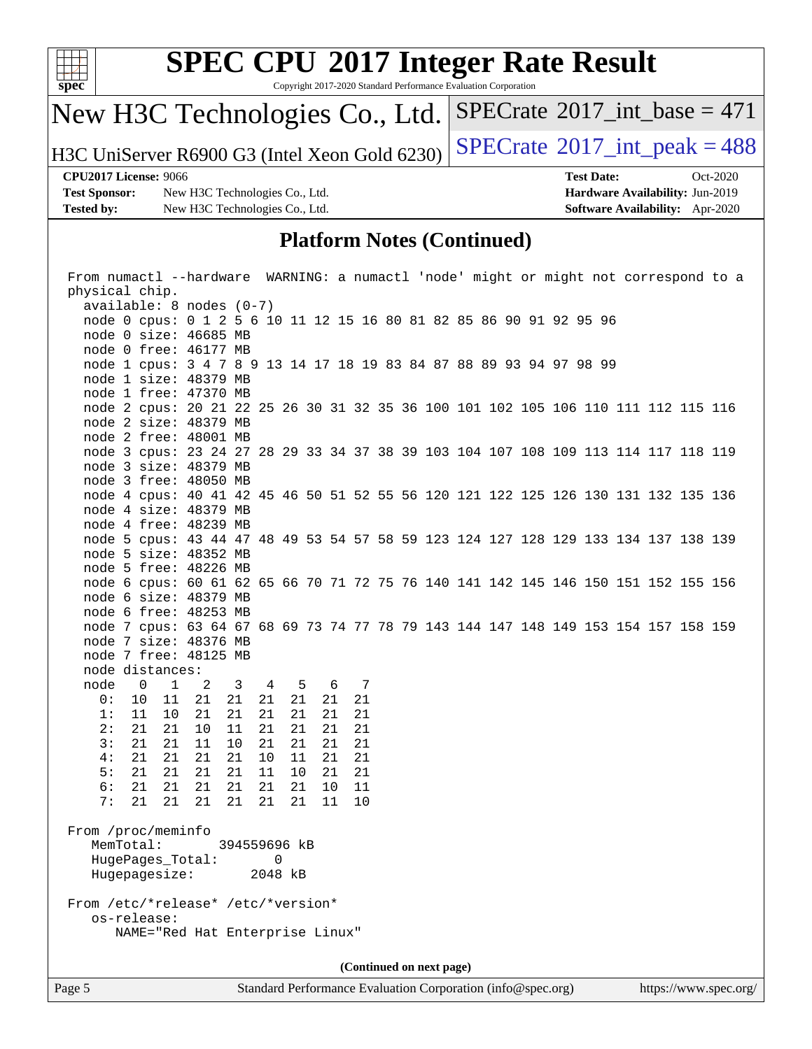

Copyright 2017-2020 Standard Performance Evaluation Corporation

## New H3C Technologies Co., Ltd.

H3C UniServer R6900 G3 (Intel Xeon Gold 6230) [SPECrate](http://www.spec.org/auto/cpu2017/Docs/result-fields.html#SPECrate2017intpeak)<sup>®</sup>2017\_int\_peak =  $488$ 

 $SPECrate$ <sup>®</sup>[2017\\_int\\_base =](http://www.spec.org/auto/cpu2017/Docs/result-fields.html#SPECrate2017intbase) 471

**[Test Sponsor:](http://www.spec.org/auto/cpu2017/Docs/result-fields.html#TestSponsor)** New H3C Technologies Co., Ltd. **[Hardware Availability:](http://www.spec.org/auto/cpu2017/Docs/result-fields.html#HardwareAvailability)** Jun-2019 **[Tested by:](http://www.spec.org/auto/cpu2017/Docs/result-fields.html#Testedby)** New H3C Technologies Co., Ltd. **[Software Availability:](http://www.spec.org/auto/cpu2017/Docs/result-fields.html#SoftwareAvailability)** Apr-2020

**[CPU2017 License:](http://www.spec.org/auto/cpu2017/Docs/result-fields.html#CPU2017License)** 9066 **[Test Date:](http://www.spec.org/auto/cpu2017/Docs/result-fields.html#TestDate)** Oct-2020

#### **[Platform Notes \(Continued\)](http://www.spec.org/auto/cpu2017/Docs/result-fields.html#PlatformNotes)**

| From numactl --hardware WARNING: a numactl 'node' might or might not correspond to a |                                    |               |                                                                                    |              |                |    |  |     |    |  |                          |  |  |  |  |  |
|--------------------------------------------------------------------------------------|------------------------------------|---------------|------------------------------------------------------------------------------------|--------------|----------------|----|--|-----|----|--|--------------------------|--|--|--|--|--|
| physical chip.                                                                       |                                    |               |                                                                                    |              |                |    |  |     |    |  |                          |  |  |  |  |  |
|                                                                                      |                                    |               | $available: 8 nodes (0-7)$                                                         |              |                |    |  |     |    |  |                          |  |  |  |  |  |
|                                                                                      |                                    |               | node 0 cpus: 0 1 2 5 6 10 11 12 15 16 80 81 82 85 86 90 91 92 95 96                |              |                |    |  |     |    |  |                          |  |  |  |  |  |
|                                                                                      |                                    |               | node 0 size: 46685 MB                                                              |              |                |    |  |     |    |  |                          |  |  |  |  |  |
|                                                                                      |                                    |               | node 0 free: 46177 MB                                                              |              |                |    |  |     |    |  |                          |  |  |  |  |  |
|                                                                                      |                                    |               | node 1 cpus: 3 4 7 8 9 13 14 17 18 19 83 84 87 88 89 93 94 97 98 99                |              |                |    |  |     |    |  |                          |  |  |  |  |  |
|                                                                                      |                                    |               | node 1 size: 48379 MB                                                              |              |                |    |  |     |    |  |                          |  |  |  |  |  |
|                                                                                      |                                    |               | node 1 free: 47370 MB                                                              |              |                |    |  |     |    |  |                          |  |  |  |  |  |
|                                                                                      |                                    |               | node 2 cpus: 20 21 22 25 26 30 31 32 35 36 100 101 102 105 106 110 111 112 115 116 |              |                |    |  |     |    |  |                          |  |  |  |  |  |
|                                                                                      |                                    |               | node 2 size: 48379 MB                                                              |              |                |    |  |     |    |  |                          |  |  |  |  |  |
|                                                                                      |                                    |               | node 2 free: 48001 MB                                                              |              |                |    |  |     |    |  |                          |  |  |  |  |  |
|                                                                                      |                                    |               | node 3 cpus: 23 24 27 28 29 33 34 37 38 39 103 104 107 108 109 113 114 117 118 119 |              |                |    |  |     |    |  |                          |  |  |  |  |  |
|                                                                                      |                                    |               | node 3 size: 48379 MB                                                              |              |                |    |  |     |    |  |                          |  |  |  |  |  |
|                                                                                      |                                    |               | node 3 free: 48050 MB                                                              |              |                |    |  |     |    |  |                          |  |  |  |  |  |
|                                                                                      |                                    |               | node 4 cpus: 40 41 42 45 46 50 51 52 55 56 120 121 122 125 126 130 131 132 135 136 |              |                |    |  |     |    |  |                          |  |  |  |  |  |
|                                                                                      |                                    |               | node 4 size: 48379 MB                                                              |              |                |    |  |     |    |  |                          |  |  |  |  |  |
|                                                                                      |                                    |               | node 4 free: 48239 MB                                                              |              |                |    |  |     |    |  |                          |  |  |  |  |  |
|                                                                                      |                                    |               | node 5 cpus: 43 44 47 48 49 53 54 57 58 59 123 124 127 128 129 133 134 137 138 139 |              |                |    |  |     |    |  |                          |  |  |  |  |  |
|                                                                                      |                                    |               | node 5 size: 48352 MB                                                              |              |                |    |  |     |    |  |                          |  |  |  |  |  |
|                                                                                      |                                    |               | node 5 free: 48226 MB                                                              |              |                |    |  |     |    |  |                          |  |  |  |  |  |
|                                                                                      |                                    |               | node 6 cpus: 60 61 62 65 66 70 71 72 75 76 140 141 142 145 146 150 151 152 155 156 |              |                |    |  |     |    |  |                          |  |  |  |  |  |
|                                                                                      |                                    |               | node 6 size: 48379 MB                                                              |              |                |    |  |     |    |  |                          |  |  |  |  |  |
|                                                                                      |                                    |               | node 6 free: 48253 MB                                                              |              |                |    |  |     |    |  |                          |  |  |  |  |  |
|                                                                                      |                                    |               | node 7 cpus: 63 64 67 68 69 73 74 77 78 79 143 144 147 148 149 153 154 157 158 159 |              |                |    |  |     |    |  |                          |  |  |  |  |  |
|                                                                                      |                                    |               | node 7 size: 48376 MB                                                              |              |                |    |  |     |    |  |                          |  |  |  |  |  |
|                                                                                      |                                    |               | node 7 free: 48125 MB                                                              |              |                |    |  |     |    |  |                          |  |  |  |  |  |
| node distances:                                                                      |                                    |               |                                                                                    |              |                |    |  |     |    |  |                          |  |  |  |  |  |
| node                                                                                 | $\overline{\phantom{0}}$           | $\mathbf{1}$  | $\overline{2}$                                                                     | 3            | $\overline{4}$ | 5  |  | 6 7 |    |  |                          |  |  |  |  |  |
| 0:                                                                                   | 10                                 | 11            | 21                                                                                 | 21           | 21             | 21 |  | 21  | 21 |  |                          |  |  |  |  |  |
| 1:                                                                                   | 11                                 | 10            | 21                                                                                 | 21           | 21             | 21 |  | 21  | 21 |  |                          |  |  |  |  |  |
| 2:                                                                                   | 21                                 | 21            | 10                                                                                 | 11           | 21             | 21 |  | 21  | 21 |  |                          |  |  |  |  |  |
| 3:                                                                                   | 21                                 | 21            | 11                                                                                 | 10           | 21             | 21 |  | 21  | 21 |  |                          |  |  |  |  |  |
| 4:                                                                                   | 21                                 | 21            | 21                                                                                 | 21           | 10             | 11 |  | 21  | 21 |  |                          |  |  |  |  |  |
| 5:                                                                                   | 21                                 | 21            | 21                                                                                 | 21           | 11             | 10 |  | 21  | 21 |  |                          |  |  |  |  |  |
| 6:                                                                                   | 21                                 | 21            | 21                                                                                 | 21           | 21             | 21 |  | 10  | 11 |  |                          |  |  |  |  |  |
| 7:                                                                                   | 21                                 | 21            | 21                                                                                 | 21           | 21             | 21 |  | 11  | 10 |  |                          |  |  |  |  |  |
|                                                                                      |                                    |               |                                                                                    |              |                |    |  |     |    |  |                          |  |  |  |  |  |
| From /proc/meminfo                                                                   |                                    |               |                                                                                    |              |                |    |  |     |    |  |                          |  |  |  |  |  |
| MemTotal:                                                                            |                                    |               |                                                                                    | 394559696 kB |                |    |  |     |    |  |                          |  |  |  |  |  |
|                                                                                      |                                    |               | HugePages_Total:                                                                   |              | 0              |    |  |     |    |  |                          |  |  |  |  |  |
|                                                                                      |                                    | Hugepagesize: |                                                                                    |              | 2048 kB        |    |  |     |    |  |                          |  |  |  |  |  |
|                                                                                      | From /etc/*release* /etc/*version* |               |                                                                                    |              |                |    |  |     |    |  |                          |  |  |  |  |  |
| os-release:                                                                          |                                    |               |                                                                                    |              |                |    |  |     |    |  |                          |  |  |  |  |  |
|                                                                                      |                                    |               | NAME="Red Hat Enterprise Linux"                                                    |              |                |    |  |     |    |  |                          |  |  |  |  |  |
|                                                                                      |                                    |               |                                                                                    |              |                |    |  |     |    |  |                          |  |  |  |  |  |
|                                                                                      |                                    |               |                                                                                    |              |                |    |  |     |    |  | (Continued on next page) |  |  |  |  |  |
|                                                                                      |                                    |               |                                                                                    |              |                |    |  |     |    |  |                          |  |  |  |  |  |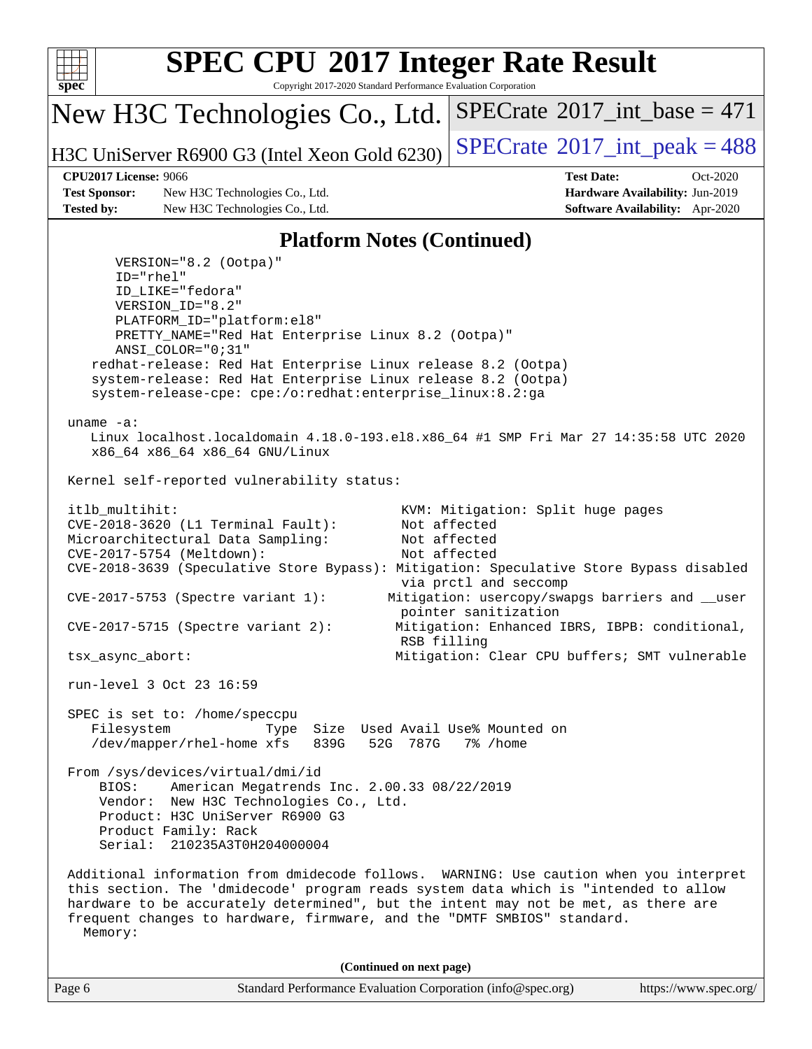

Copyright 2017-2020 Standard Performance Evaluation Corporation

New H3C Technologies Co., Ltd.

H3C UniServer R6900 G3 (Intel Xeon Gold 6230)  $\left|$  [SPECrate](http://www.spec.org/auto/cpu2017/Docs/result-fields.html#SPECrate2017intpeak)<sup>®</sup>[2017\\_int\\_peak = 4](http://www.spec.org/auto/cpu2017/Docs/result-fields.html#SPECrate2017intpeak)88

 $SPECTate$ <sup>®</sup>[2017\\_int\\_base =](http://www.spec.org/auto/cpu2017/Docs/result-fields.html#SPECrate2017intbase) 471

**[Test Sponsor:](http://www.spec.org/auto/cpu2017/Docs/result-fields.html#TestSponsor)** New H3C Technologies Co., Ltd. **[Hardware Availability:](http://www.spec.org/auto/cpu2017/Docs/result-fields.html#HardwareAvailability)** Jun-2019 **[Tested by:](http://www.spec.org/auto/cpu2017/Docs/result-fields.html#Testedby)** New H3C Technologies Co., Ltd. **[Software Availability:](http://www.spec.org/auto/cpu2017/Docs/result-fields.html#SoftwareAvailability)** Apr-2020

**[CPU2017 License:](http://www.spec.org/auto/cpu2017/Docs/result-fields.html#CPU2017License)** 9066 **[Test Date:](http://www.spec.org/auto/cpu2017/Docs/result-fields.html#TestDate)** Oct-2020

#### **[Platform Notes \(Continued\)](http://www.spec.org/auto/cpu2017/Docs/result-fields.html#PlatformNotes)**

Page 6 Standard Performance Evaluation Corporation [\(info@spec.org\)](mailto:info@spec.org) <https://www.spec.org/> VERSION="8.2 (Ootpa)" ID="rhel" ID\_LIKE="fedora" VERSION\_ID="8.2" PLATFORM\_ID="platform:el8" PRETTY\_NAME="Red Hat Enterprise Linux 8.2 (Ootpa)" ANSI\_COLOR="0;31" redhat-release: Red Hat Enterprise Linux release 8.2 (Ootpa) system-release: Red Hat Enterprise Linux release 8.2 (Ootpa) system-release-cpe: cpe:/o:redhat:enterprise\_linux:8.2:ga uname -a: Linux localhost.localdomain 4.18.0-193.el8.x86\_64 #1 SMP Fri Mar 27 14:35:58 UTC 2020 x86\_64 x86\_64 x86\_64 GNU/Linux Kernel self-reported vulnerability status: itlb\_multihit: KVM: Mitigation: Split huge pages CVE-2018-3620 (L1 Terminal Fault): Not affected Microarchitectural Data Sampling: Not affected CVE-2017-5754 (Meltdown): Not affected CVE-2018-3639 (Speculative Store Bypass): Mitigation: Speculative Store Bypass disabled via prctl and seccomp CVE-2017-5753 (Spectre variant 1): Mitigation: usercopy/swapgs barriers and \_\_user pointer sanitization CVE-2017-5715 (Spectre variant 2): Mitigation: Enhanced IBRS, IBPB: conditional, RSB filling tsx\_async\_abort: Mitigation: Clear CPU buffers; SMT vulnerable run-level 3 Oct 23 16:59 SPEC is set to: /home/speccpu Filesystem Type Size Used Avail Use% Mounted on /dev/mapper/rhel-home xfs 839G 52G 787G 7% /home From /sys/devices/virtual/dmi/id BIOS: American Megatrends Inc. 2.00.33 08/22/2019 Vendor: New H3C Technologies Co., Ltd. Product: H3C UniServer R6900 G3 Product Family: Rack Serial: 210235A3T0H204000004 Additional information from dmidecode follows. WARNING: Use caution when you interpret this section. The 'dmidecode' program reads system data which is "intended to allow hardware to be accurately determined", but the intent may not be met, as there are frequent changes to hardware, firmware, and the "DMTF SMBIOS" standard. Memory: **(Continued on next page)**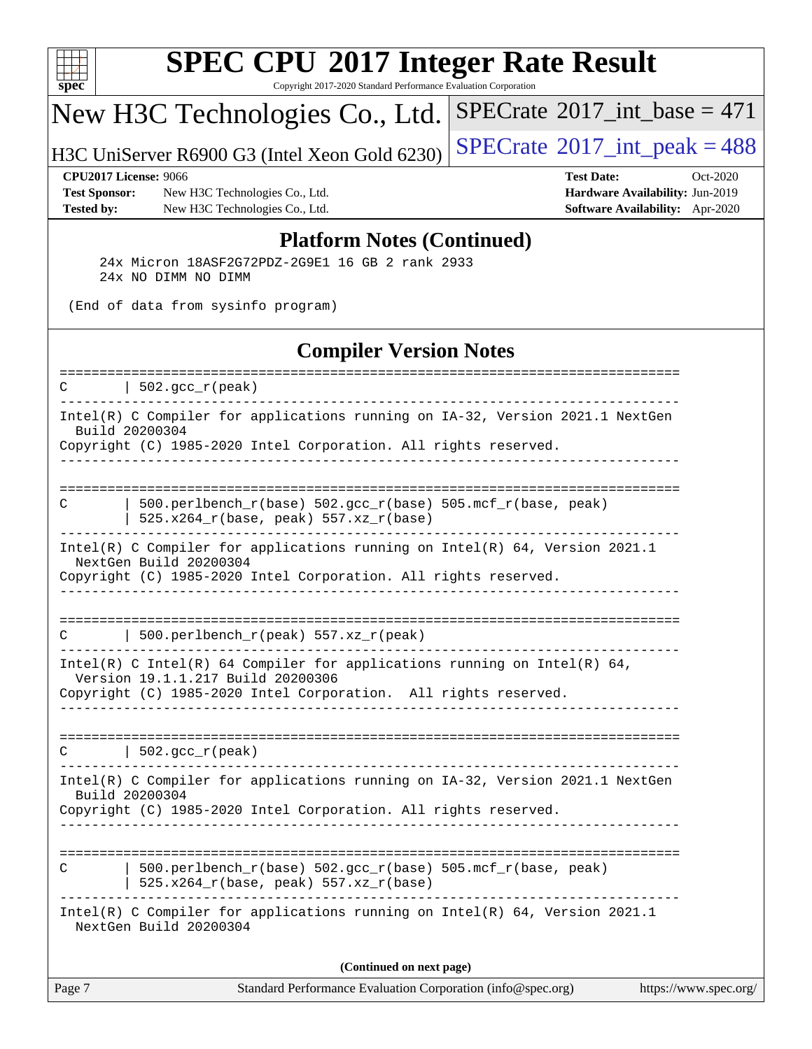

Copyright 2017-2020 Standard Performance Evaluation Corporation

## New H3C Technologies Co., Ltd.

H3C UniServer R6900 G3 (Intel Xeon Gold 6230)  $\left|$  [SPECrate](http://www.spec.org/auto/cpu2017/Docs/result-fields.html#SPECrate2017intpeak)<sup>®</sup>[2017\\_int\\_peak = 4](http://www.spec.org/auto/cpu2017/Docs/result-fields.html#SPECrate2017intpeak)88

 $SPECrate$ <sup>®</sup>[2017\\_int\\_base =](http://www.spec.org/auto/cpu2017/Docs/result-fields.html#SPECrate2017intbase) 471

**[Test Sponsor:](http://www.spec.org/auto/cpu2017/Docs/result-fields.html#TestSponsor)** New H3C Technologies Co., Ltd. **[Hardware Availability:](http://www.spec.org/auto/cpu2017/Docs/result-fields.html#HardwareAvailability)** Jun-2019 **[Tested by:](http://www.spec.org/auto/cpu2017/Docs/result-fields.html#Testedby)** New H3C Technologies Co., Ltd. **[Software Availability:](http://www.spec.org/auto/cpu2017/Docs/result-fields.html#SoftwareAvailability)** Apr-2020

**[CPU2017 License:](http://www.spec.org/auto/cpu2017/Docs/result-fields.html#CPU2017License)** 9066 **[Test Date:](http://www.spec.org/auto/cpu2017/Docs/result-fields.html#TestDate)** Oct-2020

#### **[Platform Notes \(Continued\)](http://www.spec.org/auto/cpu2017/Docs/result-fields.html#PlatformNotes)**

 24x Micron 18ASF2G72PDZ-2G9E1 16 GB 2 rank 2933 24x NO DIMM NO DIMM

(End of data from sysinfo program)

#### **[Compiler Version Notes](http://www.spec.org/auto/cpu2017/Docs/result-fields.html#CompilerVersionNotes)**

| Intel(R) C Compiler for applications running on IA-32, Version 2021.1 NextGen<br>Build 20200304<br>Copyright (C) 1985-2020 Intel Corporation. All rights reserved.<br>---------------------------<br>500.perlbench_r(base) 502.gcc_r(base) 505.mcf_r(base, peak)<br>C<br>525.x264_r(base, peak) 557.xz_r(base)<br>Intel(R) C Compiler for applications running on $Intel(R) 64$ , Version 2021.1<br>NextGen Build 20200304<br>Copyright (C) 1985-2020 Intel Corporation. All rights reserved.<br>500.perlbench_r(peak) 557.xz_r(peak)<br>C<br>Intel(R) C Intel(R) 64 Compiler for applications running on Intel(R) 64,<br>Version 19.1.1.217 Build 20200306<br>Copyright (C) 1985-2020 Intel Corporation. All rights reserved.<br>$ 502.\mathrm{gcc\_r}(\mathrm{peak}) $<br>$\mathcal{C}$<br>Intel(R) C Compiler for applications running on IA-32, Version 2021.1 NextGen<br>Build 20200304<br>Copyright (C) 1985-2020 Intel Corporation. All rights reserved.<br>------------------------<br>$500. perlbench_r(base) 502. gcc_r(base) 505.mcf_r(base, peak)$<br>C<br>525.x264_r(base, peak) 557.xz_r(base)<br>Intel(R) C Compiler for applications running on Intel(R) 64, Version 2021.1<br>NextGen Build 20200304<br>(Continued on next page) | Page 7 | Standard Performance Evaluation Corporation (info@spec.org)<br>https://www.spec.org/ |
|---------------------------------------------------------------------------------------------------------------------------------------------------------------------------------------------------------------------------------------------------------------------------------------------------------------------------------------------------------------------------------------------------------------------------------------------------------------------------------------------------------------------------------------------------------------------------------------------------------------------------------------------------------------------------------------------------------------------------------------------------------------------------------------------------------------------------------------------------------------------------------------------------------------------------------------------------------------------------------------------------------------------------------------------------------------------------------------------------------------------------------------------------------------------------------------------------------------------------------------------------|--------|--------------------------------------------------------------------------------------|
|                                                                                                                                                                                                                                                                                                                                                                                                                                                                                                                                                                                                                                                                                                                                                                                                                                                                                                                                                                                                                                                                                                                                                                                                                                                   |        |                                                                                      |
|                                                                                                                                                                                                                                                                                                                                                                                                                                                                                                                                                                                                                                                                                                                                                                                                                                                                                                                                                                                                                                                                                                                                                                                                                                                   |        |                                                                                      |
|                                                                                                                                                                                                                                                                                                                                                                                                                                                                                                                                                                                                                                                                                                                                                                                                                                                                                                                                                                                                                                                                                                                                                                                                                                                   |        |                                                                                      |
|                                                                                                                                                                                                                                                                                                                                                                                                                                                                                                                                                                                                                                                                                                                                                                                                                                                                                                                                                                                                                                                                                                                                                                                                                                                   |        |                                                                                      |
|                                                                                                                                                                                                                                                                                                                                                                                                                                                                                                                                                                                                                                                                                                                                                                                                                                                                                                                                                                                                                                                                                                                                                                                                                                                   |        |                                                                                      |
|                                                                                                                                                                                                                                                                                                                                                                                                                                                                                                                                                                                                                                                                                                                                                                                                                                                                                                                                                                                                                                                                                                                                                                                                                                                   |        |                                                                                      |
|                                                                                                                                                                                                                                                                                                                                                                                                                                                                                                                                                                                                                                                                                                                                                                                                                                                                                                                                                                                                                                                                                                                                                                                                                                                   |        |                                                                                      |
|                                                                                                                                                                                                                                                                                                                                                                                                                                                                                                                                                                                                                                                                                                                                                                                                                                                                                                                                                                                                                                                                                                                                                                                                                                                   |        |                                                                                      |
|                                                                                                                                                                                                                                                                                                                                                                                                                                                                                                                                                                                                                                                                                                                                                                                                                                                                                                                                                                                                                                                                                                                                                                                                                                                   |        |                                                                                      |
|                                                                                                                                                                                                                                                                                                                                                                                                                                                                                                                                                                                                                                                                                                                                                                                                                                                                                                                                                                                                                                                                                                                                                                                                                                                   |        |                                                                                      |
| ====================<br>-------------------------------                                                                                                                                                                                                                                                                                                                                                                                                                                                                                                                                                                                                                                                                                                                                                                                                                                                                                                                                                                                                                                                                                                                                                                                           | C      | $\vert$ 502.gcc_r(peak)                                                              |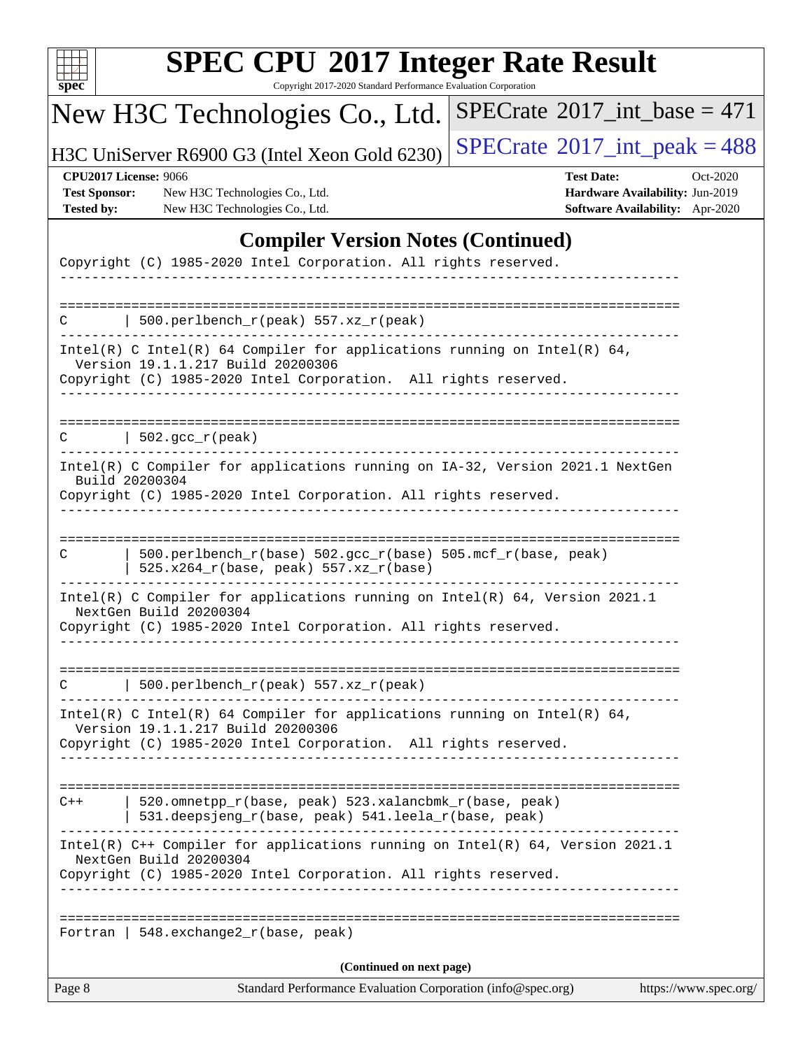| u<br>r |  |  |  |  |  |  |
|--------|--|--|--|--|--|--|

Copyright 2017-2020 Standard Performance Evaluation Corporation

## New H3C Technologies Co., Ltd.

H3C UniServer R6900 G3 (Intel Xeon Gold 6230)  $\left|$  [SPECrate](http://www.spec.org/auto/cpu2017/Docs/result-fields.html#SPECrate2017intpeak)<sup>®</sup>[2017\\_int\\_peak = 4](http://www.spec.org/auto/cpu2017/Docs/result-fields.html#SPECrate2017intpeak)88

 $SPECrate$ <sup>®</sup>[2017\\_int\\_base =](http://www.spec.org/auto/cpu2017/Docs/result-fields.html#SPECrate2017intbase) 471

#### **[CPU2017 License:](http://www.spec.org/auto/cpu2017/Docs/result-fields.html#CPU2017License)** 9066 **[Test Date:](http://www.spec.org/auto/cpu2017/Docs/result-fields.html#TestDate)** Oct-2020

**[Test Sponsor:](http://www.spec.org/auto/cpu2017/Docs/result-fields.html#TestSponsor)** New H3C Technologies Co., Ltd. **[Hardware Availability:](http://www.spec.org/auto/cpu2017/Docs/result-fields.html#HardwareAvailability)** Jun-2019 **[Tested by:](http://www.spec.org/auto/cpu2017/Docs/result-fields.html#Testedby)** New H3C Technologies Co., Ltd. **[Software Availability:](http://www.spec.org/auto/cpu2017/Docs/result-fields.html#SoftwareAvailability)** Apr-2020

### **[Compiler Version Notes \(Continued\)](http://www.spec.org/auto/cpu2017/Docs/result-fields.html#CompilerVersionNotes)**

| Page 8 | Standard Performance Evaluation Corporation (info@spec.org)                                                                                                                            | https://www.spec.org/ |
|--------|----------------------------------------------------------------------------------------------------------------------------------------------------------------------------------------|-----------------------|
|        | (Continued on next page)                                                                                                                                                               |                       |
|        | Fortran   548. exchange2 $r(base, peak)$                                                                                                                                               |                       |
|        | Intel(R) C++ Compiler for applications running on Intel(R) 64, Version 2021.1<br>NextGen Build 20200304<br>Copyright (C) 1985-2020 Intel Corporation. All rights reserved.             |                       |
| $C++$  | -------------------------------<br>520.omnetpp_r(base, peak) 523.xalancbmk_r(base, peak)<br>531.deepsjeng_r(base, peak) 541.leela_r(base, peak)<br>--------------------                |                       |
|        | Intel(R) C Intel(R) 64 Compiler for applications running on Intel(R) 64,<br>Version 19.1.1.217 Build 20200306<br>Copyright (C) 1985-2020 Intel Corporation. All rights reserved.       |                       |
|        | 500.perlbench_r(peak) 557.xz_r(peak)                                                                                                                                                   |                       |
|        | Intel(R) C Compiler for applications running on Intel(R) $64$ , Version 2021.1<br>NextGen Build 20200304<br>Copyright (C) 1985-2020 Intel Corporation. All rights reserved.            |                       |
| C      | 500.perlbench_r(base) 502.gcc_r(base) 505.mcf_r(base, peak)<br>$525.x264_r(base, peak) 557.xz_r(base)$                                                                                 |                       |
|        | Intel(R) C Compiler for applications running on IA-32, Version 2021.1 NextGen<br>Build 20200304<br>Copyright (C) 1985-2020 Intel Corporation. All rights reserved.<br>________________ |                       |
| C      | $502.\text{gcc\_r}(\text{peak})$                                                                                                                                                       |                       |
|        | Copyright (C) 1985-2020 Intel Corporation. All rights reserved.                                                                                                                        |                       |
|        | Intel(R) C Intel(R) 64 Compiler for applications running on Intel(R) 64,<br>Version 19.1.1.217 Build 20200306                                                                          |                       |
|        | 500.perlbench_r(peak) $557.xz_r(peak)$                                                                                                                                                 |                       |
|        | Copyright (C) 1985-2020 Intel Corporation. All rights reserved.                                                                                                                        |                       |
|        |                                                                                                                                                                                        |                       |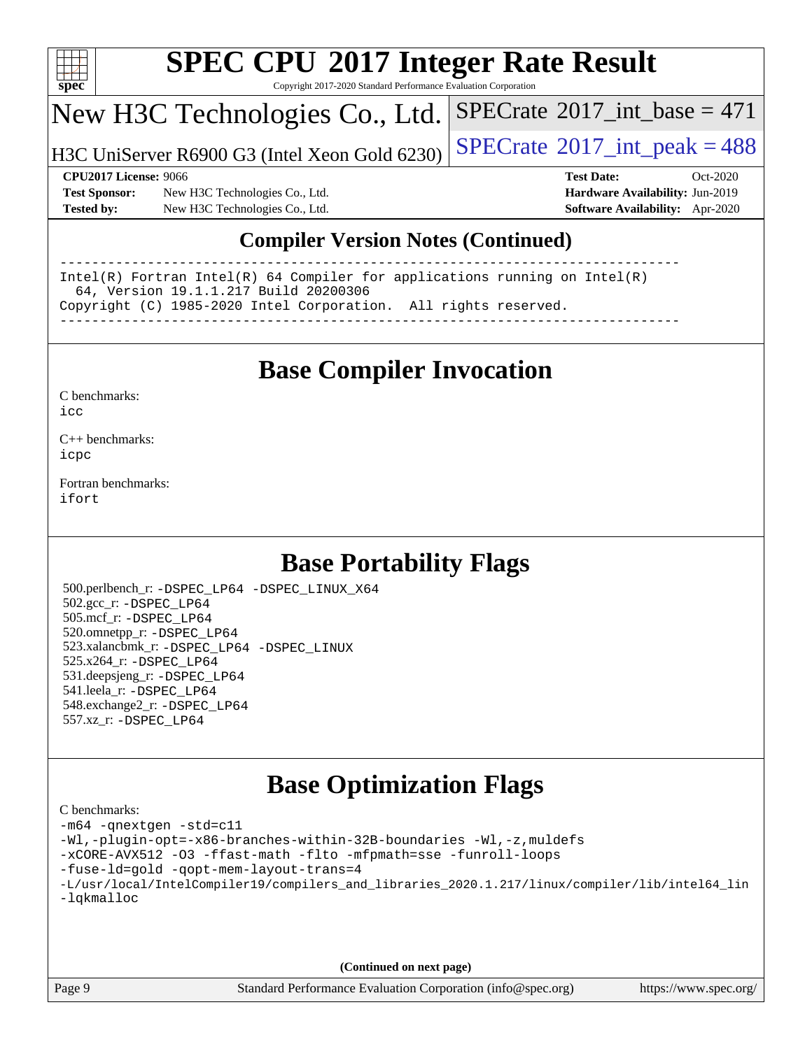

Copyright 2017-2020 Standard Performance Evaluation Corporation

## New H3C Technologies Co., Ltd.

H3C UniServer R6900 G3 (Intel Xeon Gold 6230)  $\left|$  [SPECrate](http://www.spec.org/auto/cpu2017/Docs/result-fields.html#SPECrate2017intpeak)®[2017\\_int\\_peak = 4](http://www.spec.org/auto/cpu2017/Docs/result-fields.html#SPECrate2017intpeak)88

 $SPECTate$ <sup>®</sup>[2017\\_int\\_base =](http://www.spec.org/auto/cpu2017/Docs/result-fields.html#SPECrate2017intbase) 471

**[Test Sponsor:](http://www.spec.org/auto/cpu2017/Docs/result-fields.html#TestSponsor)** New H3C Technologies Co., Ltd. **[Hardware Availability:](http://www.spec.org/auto/cpu2017/Docs/result-fields.html#HardwareAvailability)** Jun-2019 **[Tested by:](http://www.spec.org/auto/cpu2017/Docs/result-fields.html#Testedby)** New H3C Technologies Co., Ltd. **[Software Availability:](http://www.spec.org/auto/cpu2017/Docs/result-fields.html#SoftwareAvailability)** Apr-2020

**[CPU2017 License:](http://www.spec.org/auto/cpu2017/Docs/result-fields.html#CPU2017License)** 9066 **[Test Date:](http://www.spec.org/auto/cpu2017/Docs/result-fields.html#TestDate)** Oct-2020

### **[Compiler Version Notes \(Continued\)](http://www.spec.org/auto/cpu2017/Docs/result-fields.html#CompilerVersionNotes)**

------------------------------------------------------------------------------ Intel(R) Fortran Intel(R) 64 Compiler for applications running on Intel(R) 64, Version 19.1.1.217 Build 20200306 Copyright (C) 1985-2020 Intel Corporation. All rights reserved. ------------------------------------------------------------------------------

## **[Base Compiler Invocation](http://www.spec.org/auto/cpu2017/Docs/result-fields.html#BaseCompilerInvocation)**

[C benchmarks](http://www.spec.org/auto/cpu2017/Docs/result-fields.html#Cbenchmarks):  $i$ cc

[C++ benchmarks:](http://www.spec.org/auto/cpu2017/Docs/result-fields.html#CXXbenchmarks) [icpc](http://www.spec.org/cpu2017/results/res2020q4/cpu2017-20201027-24327.flags.html#user_CXXbase_intel_icpc_c510b6838c7f56d33e37e94d029a35b4a7bccf4766a728ee175e80a419847e808290a9b78be685c44ab727ea267ec2f070ec5dc83b407c0218cded6866a35d07)

[Fortran benchmarks](http://www.spec.org/auto/cpu2017/Docs/result-fields.html#Fortranbenchmarks): [ifort](http://www.spec.org/cpu2017/results/res2020q4/cpu2017-20201027-24327.flags.html#user_FCbase_intel_ifort_8111460550e3ca792625aed983ce982f94888b8b503583aa7ba2b8303487b4d8a21a13e7191a45c5fd58ff318f48f9492884d4413fa793fd88dd292cad7027ca)

## **[Base Portability Flags](http://www.spec.org/auto/cpu2017/Docs/result-fields.html#BasePortabilityFlags)**

 500.perlbench\_r: [-DSPEC\\_LP64](http://www.spec.org/cpu2017/results/res2020q4/cpu2017-20201027-24327.flags.html#b500.perlbench_r_basePORTABILITY_DSPEC_LP64) [-DSPEC\\_LINUX\\_X64](http://www.spec.org/cpu2017/results/res2020q4/cpu2017-20201027-24327.flags.html#b500.perlbench_r_baseCPORTABILITY_DSPEC_LINUX_X64) 502.gcc\_r: [-DSPEC\\_LP64](http://www.spec.org/cpu2017/results/res2020q4/cpu2017-20201027-24327.flags.html#suite_basePORTABILITY502_gcc_r_DSPEC_LP64) 505.mcf\_r: [-DSPEC\\_LP64](http://www.spec.org/cpu2017/results/res2020q4/cpu2017-20201027-24327.flags.html#suite_basePORTABILITY505_mcf_r_DSPEC_LP64) 520.omnetpp\_r: [-DSPEC\\_LP64](http://www.spec.org/cpu2017/results/res2020q4/cpu2017-20201027-24327.flags.html#suite_basePORTABILITY520_omnetpp_r_DSPEC_LP64) 523.xalancbmk\_r: [-DSPEC\\_LP64](http://www.spec.org/cpu2017/results/res2020q4/cpu2017-20201027-24327.flags.html#suite_basePORTABILITY523_xalancbmk_r_DSPEC_LP64) [-DSPEC\\_LINUX](http://www.spec.org/cpu2017/results/res2020q4/cpu2017-20201027-24327.flags.html#b523.xalancbmk_r_baseCXXPORTABILITY_DSPEC_LINUX) 525.x264\_r: [-DSPEC\\_LP64](http://www.spec.org/cpu2017/results/res2020q4/cpu2017-20201027-24327.flags.html#suite_basePORTABILITY525_x264_r_DSPEC_LP64) 531.deepsjeng\_r: [-DSPEC\\_LP64](http://www.spec.org/cpu2017/results/res2020q4/cpu2017-20201027-24327.flags.html#suite_basePORTABILITY531_deepsjeng_r_DSPEC_LP64) 541.leela\_r: [-DSPEC\\_LP64](http://www.spec.org/cpu2017/results/res2020q4/cpu2017-20201027-24327.flags.html#suite_basePORTABILITY541_leela_r_DSPEC_LP64) 548.exchange2\_r: [-DSPEC\\_LP64](http://www.spec.org/cpu2017/results/res2020q4/cpu2017-20201027-24327.flags.html#suite_basePORTABILITY548_exchange2_r_DSPEC_LP64) 557.xz\_r: [-DSPEC\\_LP64](http://www.spec.org/cpu2017/results/res2020q4/cpu2017-20201027-24327.flags.html#suite_basePORTABILITY557_xz_r_DSPEC_LP64)

## **[Base Optimization Flags](http://www.spec.org/auto/cpu2017/Docs/result-fields.html#BaseOptimizationFlags)**

| C benchmarks:                                                                                  |
|------------------------------------------------------------------------------------------------|
| -m64 -qnextgen -std=c11                                                                        |
| -Wl,-plugin-opt=-x86-branches-within-32B-boundaries -Wl,-z, muldefs                            |
| -xCORE-AVX512 -03 -ffast-math -flto -mfpmath=sse -funroll-loops                                |
| -fuse-1d=gold -gopt-mem-layout-trans=4                                                         |
| -L/usr/local/IntelCompiler19/compilers_and_libraries_2020.1.217/linux/compiler/lib/intel64_lin |
| -lqkmalloc                                                                                     |
|                                                                                                |
|                                                                                                |
|                                                                                                |

**(Continued on next page)**

Page 9 Standard Performance Evaluation Corporation [\(info@spec.org\)](mailto:info@spec.org) <https://www.spec.org/>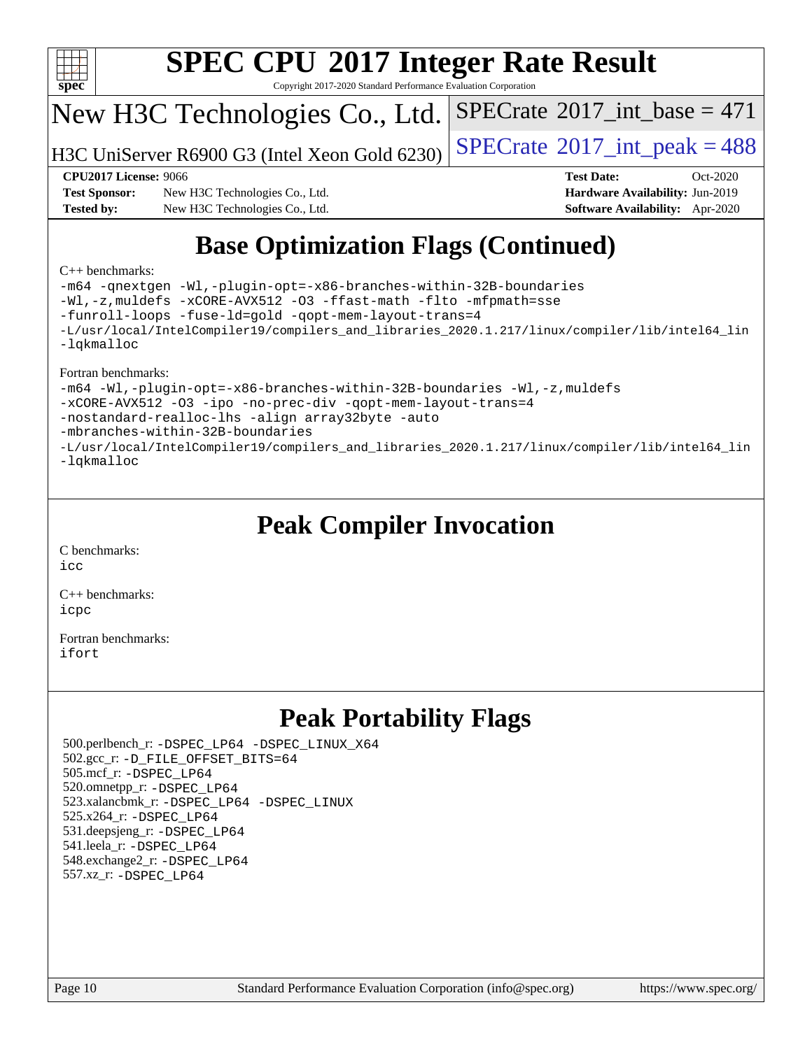

Copyright 2017-2020 Standard Performance Evaluation Corporation

## New H3C Technologies Co., Ltd.

H3C UniServer R6900 G3 (Intel Xeon Gold 6230)  $\vert$  [SPECrate](http://www.spec.org/auto/cpu2017/Docs/result-fields.html#SPECrate2017intpeak)®[2017\\_int\\_peak = 4](http://www.spec.org/auto/cpu2017/Docs/result-fields.html#SPECrate2017intpeak)88

 $SPECTate$ <sup>®</sup>[2017\\_int\\_base =](http://www.spec.org/auto/cpu2017/Docs/result-fields.html#SPECrate2017intbase) 471

**[Test Sponsor:](http://www.spec.org/auto/cpu2017/Docs/result-fields.html#TestSponsor)** New H3C Technologies Co., Ltd. **[Hardware Availability:](http://www.spec.org/auto/cpu2017/Docs/result-fields.html#HardwareAvailability)** Jun-2019 **[Tested by:](http://www.spec.org/auto/cpu2017/Docs/result-fields.html#Testedby)** New H3C Technologies Co., Ltd. **[Software Availability:](http://www.spec.org/auto/cpu2017/Docs/result-fields.html#SoftwareAvailability)** Apr-2020

**[CPU2017 License:](http://www.spec.org/auto/cpu2017/Docs/result-fields.html#CPU2017License)** 9066 **[Test Date:](http://www.spec.org/auto/cpu2017/Docs/result-fields.html#TestDate)** Oct-2020

## **[Base Optimization Flags \(Continued\)](http://www.spec.org/auto/cpu2017/Docs/result-fields.html#BaseOptimizationFlags)**

#### [C++ benchmarks:](http://www.spec.org/auto/cpu2017/Docs/result-fields.html#CXXbenchmarks)

[-m64](http://www.spec.org/cpu2017/results/res2020q4/cpu2017-20201027-24327.flags.html#user_CXXbase_m64-icc) [-qnextgen](http://www.spec.org/cpu2017/results/res2020q4/cpu2017-20201027-24327.flags.html#user_CXXbase_f-qnextgen) [-Wl,-plugin-opt=-x86-branches-within-32B-boundaries](http://www.spec.org/cpu2017/results/res2020q4/cpu2017-20201027-24327.flags.html#user_CXXbase_f-x86-branches-within-32B-boundaries_0098b4e4317ae60947b7b728078a624952a08ac37a3c797dfb4ffeb399e0c61a9dd0f2f44ce917e9361fb9076ccb15e7824594512dd315205382d84209e912f3) [-Wl,-z,muldefs](http://www.spec.org/cpu2017/results/res2020q4/cpu2017-20201027-24327.flags.html#user_CXXbase_link_force_multiple1_b4cbdb97b34bdee9ceefcfe54f4c8ea74255f0b02a4b23e853cdb0e18eb4525ac79b5a88067c842dd0ee6996c24547a27a4b99331201badda8798ef8a743f577) [-xCORE-AVX512](http://www.spec.org/cpu2017/results/res2020q4/cpu2017-20201027-24327.flags.html#user_CXXbase_f-xCORE-AVX512) [-O3](http://www.spec.org/cpu2017/results/res2020q4/cpu2017-20201027-24327.flags.html#user_CXXbase_f-O3) [-ffast-math](http://www.spec.org/cpu2017/results/res2020q4/cpu2017-20201027-24327.flags.html#user_CXXbase_f-ffast-math) [-flto](http://www.spec.org/cpu2017/results/res2020q4/cpu2017-20201027-24327.flags.html#user_CXXbase_f-flto) [-mfpmath=sse](http://www.spec.org/cpu2017/results/res2020q4/cpu2017-20201027-24327.flags.html#user_CXXbase_f-mfpmath_70eb8fac26bde974f8ab713bc9086c5621c0b8d2f6c86f38af0bd7062540daf19db5f3a066d8c6684be05d84c9b6322eb3b5be6619d967835195b93d6c02afa1) [-funroll-loops](http://www.spec.org/cpu2017/results/res2020q4/cpu2017-20201027-24327.flags.html#user_CXXbase_f-funroll-loops) [-fuse-ld=gold](http://www.spec.org/cpu2017/results/res2020q4/cpu2017-20201027-24327.flags.html#user_CXXbase_f-fuse-ld_920b3586e2b8c6e0748b9c84fa9b744736ba725a32cab14ad8f3d4ad28eecb2f59d1144823d2e17006539a88734fe1fc08fc3035f7676166309105a78aaabc32) [-qopt-mem-layout-trans=4](http://www.spec.org/cpu2017/results/res2020q4/cpu2017-20201027-24327.flags.html#user_CXXbase_f-qopt-mem-layout-trans_fa39e755916c150a61361b7846f310bcdf6f04e385ef281cadf3647acec3f0ae266d1a1d22d972a7087a248fd4e6ca390a3634700869573d231a252c784941a8) [-L/usr/local/IntelCompiler19/compilers\\_and\\_libraries\\_2020.1.217/linux/compiler/lib/intel64\\_lin](http://www.spec.org/cpu2017/results/res2020q4/cpu2017-20201027-24327.flags.html#user_CXXbase_linkpath_2cb6f503891ebf8baee7515f4e7d4ec1217444d1d05903cc0091ac4158de400651d2b2313a9fa414cb8a8f0e16ab029634f5c6db340f400369c190d4db8a54a0) [-lqkmalloc](http://www.spec.org/cpu2017/results/res2020q4/cpu2017-20201027-24327.flags.html#user_CXXbase_qkmalloc_link_lib_79a818439969f771c6bc311cfd333c00fc099dad35c030f5aab9dda831713d2015205805422f83de8875488a2991c0a156aaa600e1f9138f8fc37004abc96dc5)

#### [Fortran benchmarks:](http://www.spec.org/auto/cpu2017/Docs/result-fields.html#Fortranbenchmarks)

[-m64](http://www.spec.org/cpu2017/results/res2020q4/cpu2017-20201027-24327.flags.html#user_FCbase_m64-icc) [-Wl,-plugin-opt=-x86-branches-within-32B-boundaries](http://www.spec.org/cpu2017/results/res2020q4/cpu2017-20201027-24327.flags.html#user_FCbase_f-x86-branches-within-32B-boundaries_0098b4e4317ae60947b7b728078a624952a08ac37a3c797dfb4ffeb399e0c61a9dd0f2f44ce917e9361fb9076ccb15e7824594512dd315205382d84209e912f3) [-Wl,-z,muldefs](http://www.spec.org/cpu2017/results/res2020q4/cpu2017-20201027-24327.flags.html#user_FCbase_link_force_multiple1_b4cbdb97b34bdee9ceefcfe54f4c8ea74255f0b02a4b23e853cdb0e18eb4525ac79b5a88067c842dd0ee6996c24547a27a4b99331201badda8798ef8a743f577) [-xCORE-AVX512](http://www.spec.org/cpu2017/results/res2020q4/cpu2017-20201027-24327.flags.html#user_FCbase_f-xCORE-AVX512) [-O3](http://www.spec.org/cpu2017/results/res2020q4/cpu2017-20201027-24327.flags.html#user_FCbase_f-O3) [-ipo](http://www.spec.org/cpu2017/results/res2020q4/cpu2017-20201027-24327.flags.html#user_FCbase_f-ipo) [-no-prec-div](http://www.spec.org/cpu2017/results/res2020q4/cpu2017-20201027-24327.flags.html#user_FCbase_f-no-prec-div) [-qopt-mem-layout-trans=4](http://www.spec.org/cpu2017/results/res2020q4/cpu2017-20201027-24327.flags.html#user_FCbase_f-qopt-mem-layout-trans_fa39e755916c150a61361b7846f310bcdf6f04e385ef281cadf3647acec3f0ae266d1a1d22d972a7087a248fd4e6ca390a3634700869573d231a252c784941a8) [-nostandard-realloc-lhs](http://www.spec.org/cpu2017/results/res2020q4/cpu2017-20201027-24327.flags.html#user_FCbase_f_2003_std_realloc_82b4557e90729c0f113870c07e44d33d6f5a304b4f63d4c15d2d0f1fab99f5daaed73bdb9275d9ae411527f28b936061aa8b9c8f2d63842963b95c9dd6426b8a) [-align array32byte](http://www.spec.org/cpu2017/results/res2020q4/cpu2017-20201027-24327.flags.html#user_FCbase_align_array32byte_b982fe038af199962ba9a80c053b8342c548c85b40b8e86eb3cc33dee0d7986a4af373ac2d51c3f7cf710a18d62fdce2948f201cd044323541f22fc0fffc51b6) [-auto](http://www.spec.org/cpu2017/results/res2020q4/cpu2017-20201027-24327.flags.html#user_FCbase_f-auto) [-mbranches-within-32B-boundaries](http://www.spec.org/cpu2017/results/res2020q4/cpu2017-20201027-24327.flags.html#user_FCbase_f-mbranches-within-32B-boundaries) [-L/usr/local/IntelCompiler19/compilers\\_and\\_libraries\\_2020.1.217/linux/compiler/lib/intel64\\_lin](http://www.spec.org/cpu2017/results/res2020q4/cpu2017-20201027-24327.flags.html#user_FCbase_linkpath_2cb6f503891ebf8baee7515f4e7d4ec1217444d1d05903cc0091ac4158de400651d2b2313a9fa414cb8a8f0e16ab029634f5c6db340f400369c190d4db8a54a0) [-lqkmalloc](http://www.spec.org/cpu2017/results/res2020q4/cpu2017-20201027-24327.flags.html#user_FCbase_qkmalloc_link_lib_79a818439969f771c6bc311cfd333c00fc099dad35c030f5aab9dda831713d2015205805422f83de8875488a2991c0a156aaa600e1f9138f8fc37004abc96dc5)

## **[Peak Compiler Invocation](http://www.spec.org/auto/cpu2017/Docs/result-fields.html#PeakCompilerInvocation)**

[C benchmarks](http://www.spec.org/auto/cpu2017/Docs/result-fields.html#Cbenchmarks): [icc](http://www.spec.org/cpu2017/results/res2020q4/cpu2017-20201027-24327.flags.html#user_CCpeak_intel_icc_66fc1ee009f7361af1fbd72ca7dcefbb700085f36577c54f309893dd4ec40d12360134090235512931783d35fd58c0460139e722d5067c5574d8eaf2b3e37e92)

[C++ benchmarks:](http://www.spec.org/auto/cpu2017/Docs/result-fields.html#CXXbenchmarks) [icpc](http://www.spec.org/cpu2017/results/res2020q4/cpu2017-20201027-24327.flags.html#user_CXXpeak_intel_icpc_c510b6838c7f56d33e37e94d029a35b4a7bccf4766a728ee175e80a419847e808290a9b78be685c44ab727ea267ec2f070ec5dc83b407c0218cded6866a35d07)

[Fortran benchmarks](http://www.spec.org/auto/cpu2017/Docs/result-fields.html#Fortranbenchmarks): [ifort](http://www.spec.org/cpu2017/results/res2020q4/cpu2017-20201027-24327.flags.html#user_FCpeak_intel_ifort_8111460550e3ca792625aed983ce982f94888b8b503583aa7ba2b8303487b4d8a21a13e7191a45c5fd58ff318f48f9492884d4413fa793fd88dd292cad7027ca)

## **[Peak Portability Flags](http://www.spec.org/auto/cpu2017/Docs/result-fields.html#PeakPortabilityFlags)**

 500.perlbench\_r: [-DSPEC\\_LP64](http://www.spec.org/cpu2017/results/res2020q4/cpu2017-20201027-24327.flags.html#b500.perlbench_r_peakPORTABILITY_DSPEC_LP64) [-DSPEC\\_LINUX\\_X64](http://www.spec.org/cpu2017/results/res2020q4/cpu2017-20201027-24327.flags.html#b500.perlbench_r_peakCPORTABILITY_DSPEC_LINUX_X64) 502.gcc\_r: [-D\\_FILE\\_OFFSET\\_BITS=64](http://www.spec.org/cpu2017/results/res2020q4/cpu2017-20201027-24327.flags.html#user_peakPORTABILITY502_gcc_r_file_offset_bits_64_5ae949a99b284ddf4e95728d47cb0843d81b2eb0e18bdfe74bbf0f61d0b064f4bda2f10ea5eb90e1dcab0e84dbc592acfc5018bc955c18609f94ddb8d550002c) 505.mcf\_r: [-DSPEC\\_LP64](http://www.spec.org/cpu2017/results/res2020q4/cpu2017-20201027-24327.flags.html#suite_peakPORTABILITY505_mcf_r_DSPEC_LP64) 520.omnetpp\_r: [-DSPEC\\_LP64](http://www.spec.org/cpu2017/results/res2020q4/cpu2017-20201027-24327.flags.html#suite_peakPORTABILITY520_omnetpp_r_DSPEC_LP64) 523.xalancbmk\_r: [-DSPEC\\_LP64](http://www.spec.org/cpu2017/results/res2020q4/cpu2017-20201027-24327.flags.html#suite_peakPORTABILITY523_xalancbmk_r_DSPEC_LP64) [-DSPEC\\_LINUX](http://www.spec.org/cpu2017/results/res2020q4/cpu2017-20201027-24327.flags.html#b523.xalancbmk_r_peakCXXPORTABILITY_DSPEC_LINUX) 525.x264\_r: [-DSPEC\\_LP64](http://www.spec.org/cpu2017/results/res2020q4/cpu2017-20201027-24327.flags.html#suite_peakPORTABILITY525_x264_r_DSPEC_LP64) 531.deepsjeng\_r: [-DSPEC\\_LP64](http://www.spec.org/cpu2017/results/res2020q4/cpu2017-20201027-24327.flags.html#suite_peakPORTABILITY531_deepsjeng_r_DSPEC_LP64) 541.leela\_r: [-DSPEC\\_LP64](http://www.spec.org/cpu2017/results/res2020q4/cpu2017-20201027-24327.flags.html#suite_peakPORTABILITY541_leela_r_DSPEC_LP64) 548.exchange2\_r: [-DSPEC\\_LP64](http://www.spec.org/cpu2017/results/res2020q4/cpu2017-20201027-24327.flags.html#suite_peakPORTABILITY548_exchange2_r_DSPEC_LP64) 557.xz\_r: [-DSPEC\\_LP64](http://www.spec.org/cpu2017/results/res2020q4/cpu2017-20201027-24327.flags.html#suite_peakPORTABILITY557_xz_r_DSPEC_LP64)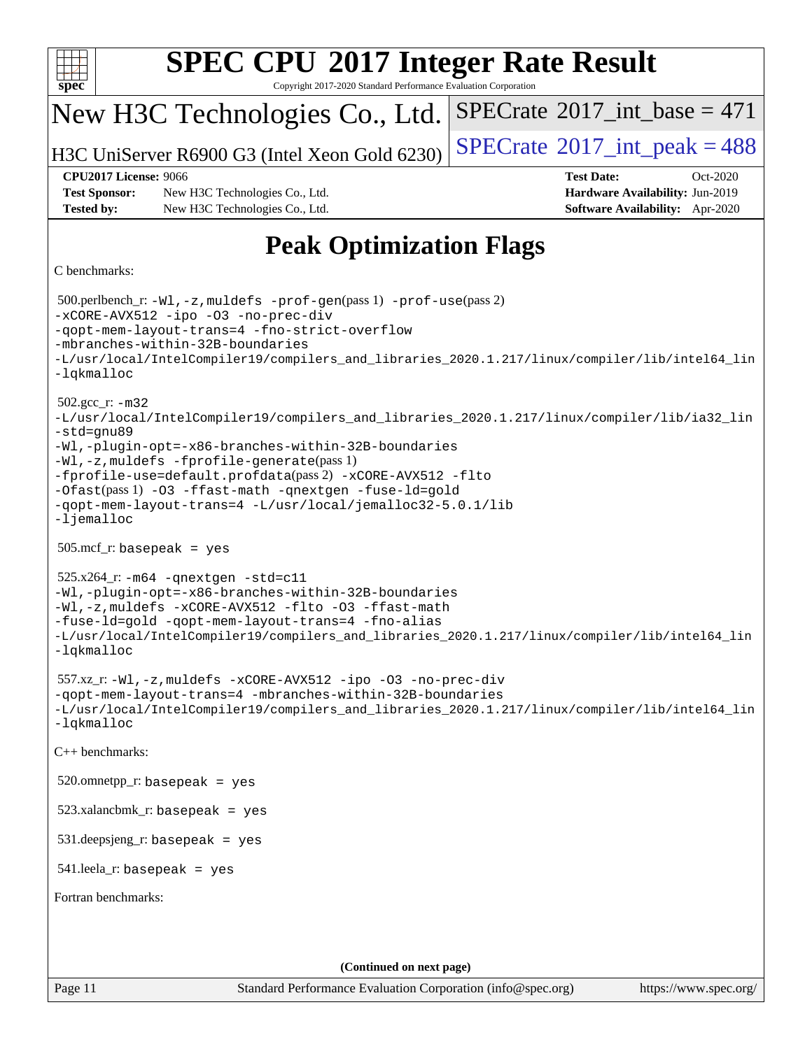| <b>SPEC CPU®2017 Integer Rate Result</b>                                                                                                                                                                                                                                                                                                                                                                                                      |                                               |  |  |  |  |  |  |  |  |  |
|-----------------------------------------------------------------------------------------------------------------------------------------------------------------------------------------------------------------------------------------------------------------------------------------------------------------------------------------------------------------------------------------------------------------------------------------------|-----------------------------------------------|--|--|--|--|--|--|--|--|--|
| spec<br>Copyright 2017-2020 Standard Performance Evaluation Corporation<br>New H3C Technologies Co., Ltd.                                                                                                                                                                                                                                                                                                                                     | $SPECrate^{\circledast}2017\_int\_base = 471$ |  |  |  |  |  |  |  |  |  |
|                                                                                                                                                                                                                                                                                                                                                                                                                                               |                                               |  |  |  |  |  |  |  |  |  |
| H3C UniServer R6900 G3 (Intel Xeon Gold 6230)                                                                                                                                                                                                                                                                                                                                                                                                 | $SPECTate$ <sup>®</sup> 2017_int_peak = 488   |  |  |  |  |  |  |  |  |  |
| <b>CPU2017 License: 9066</b><br><b>Test Date:</b><br>Oct-2020<br>Hardware Availability: Jun-2019<br><b>Test Sponsor:</b><br>New H3C Technologies Co., Ltd.                                                                                                                                                                                                                                                                                    |                                               |  |  |  |  |  |  |  |  |  |
| <b>Tested by:</b><br>New H3C Technologies Co., Ltd.                                                                                                                                                                                                                                                                                                                                                                                           | <b>Software Availability:</b> Apr-2020        |  |  |  |  |  |  |  |  |  |
| <b>Peak Optimization Flags</b>                                                                                                                                                                                                                                                                                                                                                                                                                |                                               |  |  |  |  |  |  |  |  |  |
| C benchmarks:                                                                                                                                                                                                                                                                                                                                                                                                                                 |                                               |  |  |  |  |  |  |  |  |  |
| 500.perlbench_r: -Wl, -z, muldefs -prof-gen(pass 1) -prof-use(pass 2)<br>-xCORE-AVX512 -ipo -03 -no-prec-div<br>-gopt-mem-layout-trans=4 -fno-strict-overflow<br>-mbranches-within-32B-boundaries<br>-L/usr/local/IntelCompiler19/compilers_and_libraries_2020.1.217/linux/compiler/lib/intel64_lin<br>-lqkmalloc                                                                                                                             |                                               |  |  |  |  |  |  |  |  |  |
| $502.gcc_r$ : $-m32$<br>-L/usr/local/IntelCompiler19/compilers_and_libraries_2020.1.217/linux/compiler/lib/ia32_lin<br>-std=gnu89<br>-Wl,-plugin-opt=-x86-branches-within-32B-boundaries<br>-Wl,-z, muldefs -fprofile-generate(pass 1)<br>-fprofile-use=default.profdata(pass 2) -xCORE-AVX512 -flto<br>-Ofast(pass 1) -03 -ffast-math -qnextgen -fuse-ld=gold<br>-qopt-mem-layout-trans=4 -L/usr/local/jemalloc32-5.0.1/lib<br>$-lj$ emalloc |                                               |  |  |  |  |  |  |  |  |  |
| $505.\text{mcf}_r$ : basepeak = yes                                                                                                                                                                                                                                                                                                                                                                                                           |                                               |  |  |  |  |  |  |  |  |  |
| $525.x264$ _r: $-m64$ -qnextgen -std=c11<br>-Wl,-plugin-opt=-x86-branches-within-32B-boundaries<br>-Wl,-z, muldefs -xCORE-AVX512 -flto -03 -ffast-math<br>-fuse-ld=gold -qopt-mem-layout-trans=4 -fno-alias<br>-L/usr/local/IntelCompiler19/compilers_and_libraries_2020.1.217/linux/compiler/lib/intel64_lin<br>-lqkmalloc                                                                                                                   |                                               |  |  |  |  |  |  |  |  |  |
| 557.xz_r:-Wl,-z, muldefs -xCORE-AVX512 -ipo -03 -no-prec-div<br>-qopt-mem-layout-trans=4 -mbranches-within-32B-boundaries<br>-L/usr/local/IntelCompiler19/compilers_and_libraries_2020.1.217/linux/compiler/lib/intel64_lin<br>-lqkmalloc                                                                                                                                                                                                     |                                               |  |  |  |  |  |  |  |  |  |
| $C++$ benchmarks:                                                                                                                                                                                                                                                                                                                                                                                                                             |                                               |  |  |  |  |  |  |  |  |  |
| $520.0$ mnetpp_r: basepeak = yes                                                                                                                                                                                                                                                                                                                                                                                                              |                                               |  |  |  |  |  |  |  |  |  |
| $523.xalanchmk_r:$ basepeak = yes                                                                                                                                                                                                                                                                                                                                                                                                             |                                               |  |  |  |  |  |  |  |  |  |
| $531.\text{deepsjeng_r: basepeak} = \text{yes}$                                                                                                                                                                                                                                                                                                                                                                                               |                                               |  |  |  |  |  |  |  |  |  |
| $541$ leela_r: basepeak = yes                                                                                                                                                                                                                                                                                                                                                                                                                 |                                               |  |  |  |  |  |  |  |  |  |
| Fortran benchmarks:                                                                                                                                                                                                                                                                                                                                                                                                                           |                                               |  |  |  |  |  |  |  |  |  |
|                                                                                                                                                                                                                                                                                                                                                                                                                                               |                                               |  |  |  |  |  |  |  |  |  |
|                                                                                                                                                                                                                                                                                                                                                                                                                                               |                                               |  |  |  |  |  |  |  |  |  |
| (Continued on next page)<br>Page 11<br>Standard Performance Evaluation Corporation (info@spec.org)                                                                                                                                                                                                                                                                                                                                            | https://www.spec.org/                         |  |  |  |  |  |  |  |  |  |